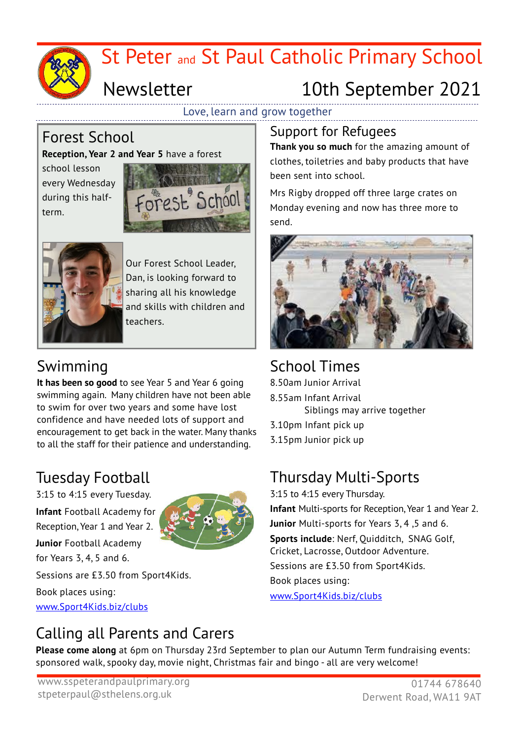

## Love, learn and grow together

# Forest School

## **Reception, Year 2 and Year 5** have a forest

school lesson every Wednesday during this halfterm.





Our Forest School Leader, Dan, is looking forward to sharing all his knowledge and skills with children and teachers.

# Swimming

**It has been so good** to see Year 5 and Year 6 going swimming again. Many children have not been able to swim for over two years and some have lost confidence and have needed lots of support and encouragement to get back in the water. Many thanks to all the staff for their patience and understanding.

# Tuesday Football

3:15 to 4:15 every Tuesday.

**Infant** Football Academy for Reception, Year 1 and Year 2.

**Junior** Football Academy for Years 3, 4, 5 and 6.

Sessions are £3.50 from Sport4Kids.

Book places using: [www.Sport4Kids.biz/clubs](http://www.sport4kids.biz/clubs)

# Support for Refugees

**Thank you so much** for the amazing amount of clothes, toiletries and baby products that have been sent into school.

Mrs Rigby dropped off three large crates on Monday evening and now has three more to send.



# School Times

8.50am Junior Arrival

- 8.55am Infant Arrival
	- Siblings may arrive together
- 3.10pm Infant pick up
- 3.15pm Junior pick up

# Thursday Multi-Sports

3:15 to 4:15 every Thursday. **Infant** Multi-sports for Reception, Year 1 and Year 2. **Junior** Multi-sports for Years 3, 4 ,5 and 6. **Sports include**: Nerf, Quidditch, SNAG Golf, Cricket, Lacrosse, Outdoor Adventure. Sessions are £3.50 from Sport4Kids. Book places using: [www.Sport4Kids.biz/clubs](http://www.sport4kids.biz/clubs)

# Calling all Parents and Carers

**Please come along** at 6pm on Thursday 23rd September to plan our Autumn Term fundraising events: sponsored walk, spooky day, movie night, Christmas fair and bingo - all are very welcome!